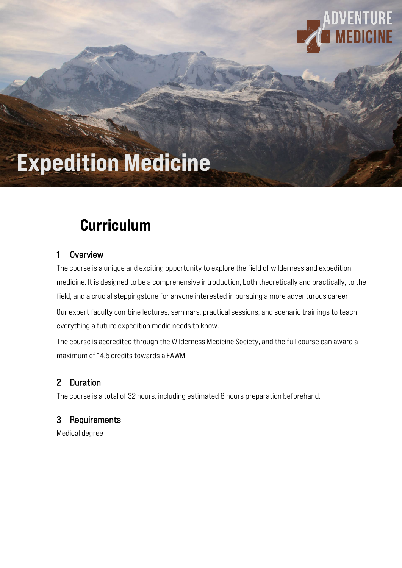

## **Expedition Medicine**

## **Curriculum**

#### 1 Overview

The course is a unique and exciting opportunity to explore the field of wilderness and expedition medicine. It is designed to be a comprehensive introduction, both theoretically and practically, to the field, and a crucial steppingstone for anyone interested in pursuing a more adventurous career.

Our expert faculty combine lectures, seminars, practical sessions, and scenario trainings to teach everything a future expedition medic needs to know.

The course is accredited through the Wilderness Medicine Society, and the full course can award a maximum of 14.5 credits towards a FAWM.

### 2 Duration

The course is a total of 32 hours, including estimated 8 hours preparation beforehand.

### 3 Requirements

Medical degree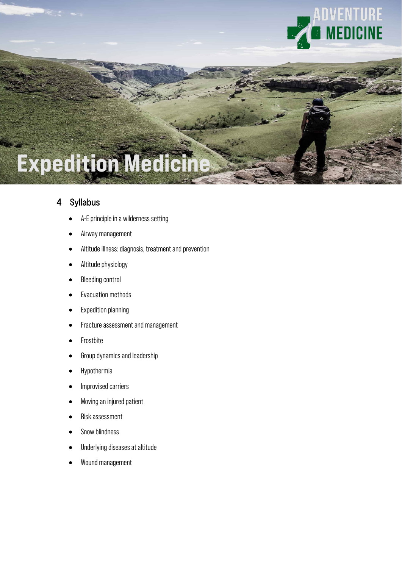

### **Barbara Expedition Medicin**

#### 4 Syllabus

l

**Contract of the State** 

**MARINER** 

**PERMITTER** 

- A-E principle in a wilderness setting
- Airway management
- Altitude illness: diagnosis, treatment and prevention
- Altitude physiology
- Bleeding control
- Evacuation methods
- Expedition planning
- Fracture assessment and management
- **Frostbite**
- Group dynamics and leadership
- Hypothermia
- Improvised carriers
- Moving an injured patient
- Risk assessment
- Snow blindness
- Underlying diseases at altitude
- Wound management